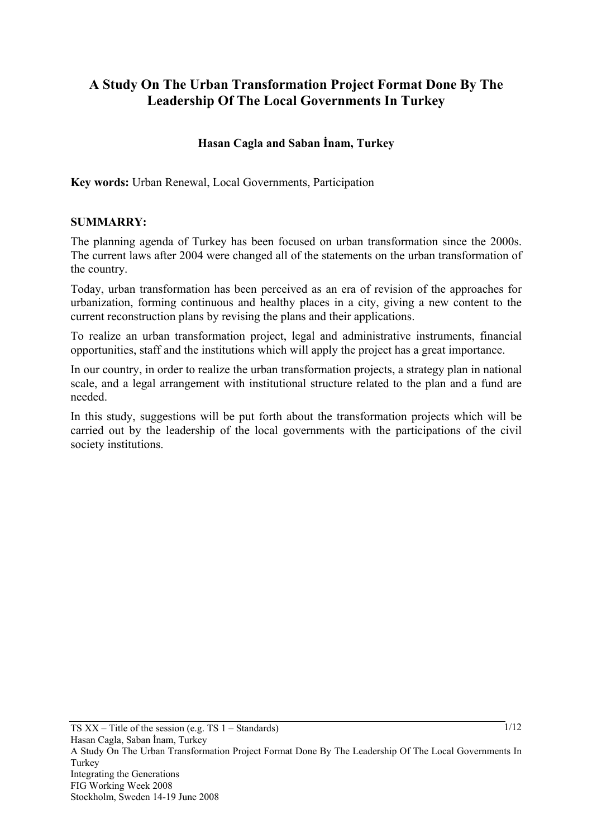# **A Study On The Urban Transformation Project Format Done By The Leadership Of The Local Governments In Turkey**

## **Hasan Cagla and Saban İnam, Turkey**

**Key words:** Urban Renewal, Local Governments, Participation

### **SUMMARRY:**

The planning agenda of Turkey has been focused on urban transformation since the 2000s. The current laws after 2004 were changed all of the statements on the urban transformation of the country.

Today, urban transformation has been perceived as an era of revision of the approaches for urbanization, forming continuous and healthy places in a city, giving a new content to the current reconstruction plans by revising the plans and their applications.

To realize an urban transformation project, legal and administrative instruments, financial opportunities, staff and the institutions which will apply the project has a great importance.

In our country, in order to realize the urban transformation projects, a strategy plan in national scale, and a legal arrangement with institutional structure related to the plan and a fund are needed.

In this study, suggestions will be put forth about the transformation projects which will be carried out by the leadership of the local governments with the participations of the civil society institutions.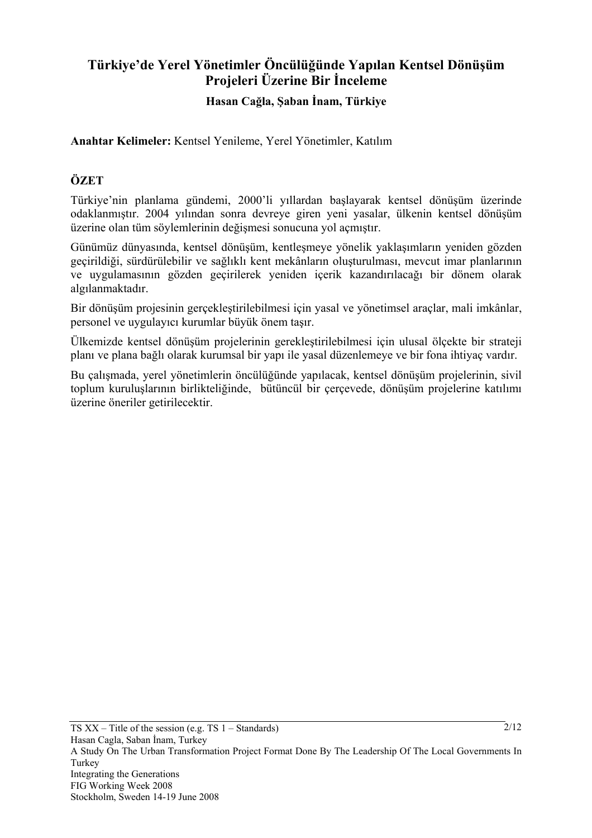# **Türkiye'de Yerel Yönetimler Öncülüğünde Yapılan Kentsel Dönüşüm Projeleri Üzerine Bir İnceleme Hasan Cağla, Şaban İnam, Türkiye**

**Anahtar Kelimeler:** Kentsel Yenileme, Yerel Yönetimler, Katılım

## **ÖZET**

Türkiye'nin planlama gündemi, 2000'li yıllardan başlayarak kentsel dönüşüm üzerinde odaklanmıştır. 2004 yılından sonra devreye giren yeni yasalar, ülkenin kentsel dönüşüm üzerine olan tüm söylemlerinin değişmesi sonucuna yol açmıştır.

Günümüz dünyasında, kentsel dönüşüm, kentleşmeye yönelik yaklaşımların yeniden gözden geçirildiği, sürdürülebilir ve sağlıklı kent mekânların oluşturulması, mevcut imar planlarının ve uygulamasının gözden geçirilerek yeniden içerik kazandırılacağı bir dönem olarak algılanmaktadır.

Bir dönüşüm projesinin gerçekleştirilebilmesi için yasal ve yönetimsel araçlar, mali imkânlar, personel ve uygulayıcı kurumlar büyük önem taşır.

Ülkemizde kentsel dönüşüm projelerinin gerekleştirilebilmesi için ulusal ölçekte bir strateji planı ve plana bağlı olarak kurumsal bir yapı ile yasal düzenlemeye ve bir fona ihtiyaç vardır.

Bu çalışmada, yerel yönetimlerin öncülüğünde yapılacak, kentsel dönüşüm projelerinin, sivil toplum kuruluşlarının birlikteliğinde, bütüncül bir çerçevede, dönüşüm projelerine katılımı üzerine öneriler getirilecektir.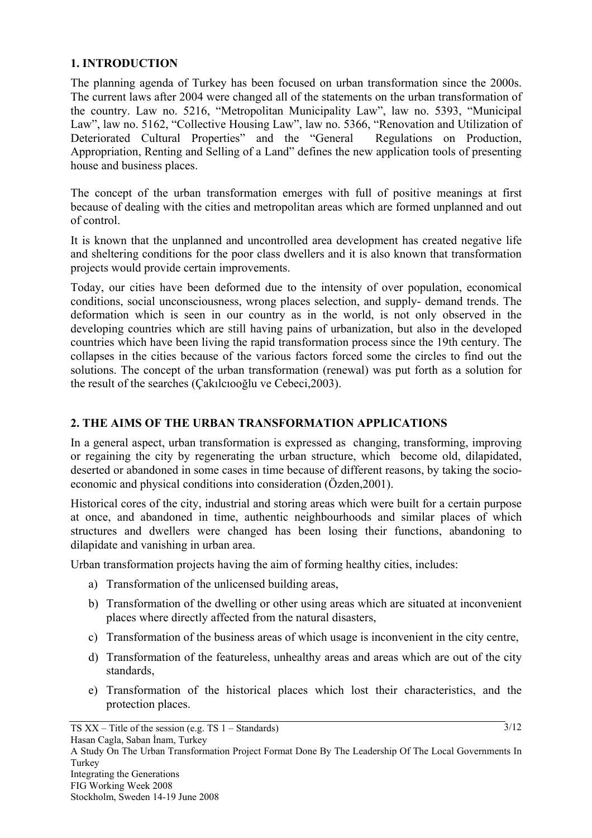### **1. INTRODUCTION**

The planning agenda of Turkey has been focused on urban transformation since the 2000s. The current laws after 2004 were changed all of the statements on the urban transformation of the country. Law no. 5216, "Metropolitan Municipality Law", law no. 5393, "Municipal Law", law no. 5162, "Collective Housing Law", law no. 5366, "Renovation and Utilization of Deteriorated Cultural Properties" and the "General Regulations on Production, Appropriation, Renting and Selling of a Land" defines the new application tools of presenting house and business places.

The concept of the urban transformation emerges with full of positive meanings at first because of dealing with the cities and metropolitan areas which are formed unplanned and out of control.

It is known that the unplanned and uncontrolled area development has created negative life and sheltering conditions for the poor class dwellers and it is also known that transformation projects would provide certain improvements.

Today, our cities have been deformed due to the intensity of over population, economical conditions, social unconsciousness, wrong places selection, and supply- demand trends. The deformation which is seen in our country as in the world, is not only observed in the developing countries which are still having pains of urbanization, but also in the developed countries which have been living the rapid transformation process since the 19th century. The collapses in the cities because of the various factors forced some the circles to find out the solutions. The concept of the urban transformation (renewal) was put forth as a solution for the result of the searches (Çakılcıooğlu ve Cebeci,2003).

### **2. THE AIMS OF THE URBAN TRANSFORMATION APPLICATIONS**

In a general aspect, urban transformation is expressed as changing, transforming, improving or regaining the city by regenerating the urban structure, which become old, dilapidated, deserted or abandoned in some cases in time because of different reasons, by taking the socioeconomic and physical conditions into consideration (Özden,2001).

Historical cores of the city, industrial and storing areas which were built for a certain purpose at once, and abandoned in time, authentic neighbourhoods and similar places of which structures and dwellers were changed has been losing their functions, abandoning to dilapidate and vanishing in urban area.

Urban transformation projects having the aim of forming healthy cities, includes:

- a) Transformation of the unlicensed building areas,
- b) Transformation of the dwelling or other using areas which are situated at inconvenient places where directly affected from the natural disasters,
- c) Transformation of the business areas of which usage is inconvenient in the city centre,
- d) Transformation of the featureless, unhealthy areas and areas which are out of the city standards,
- e) Transformation of the historical places which lost their characteristics, and the protection places.

 $3/12$ 

 $TS XX - Title$  of the session (e.g. TS 1 – Standards)

A Study On The Urban Transformation Project Format Done By The Leadership Of The Local Governments In Turkey Integrating the Generations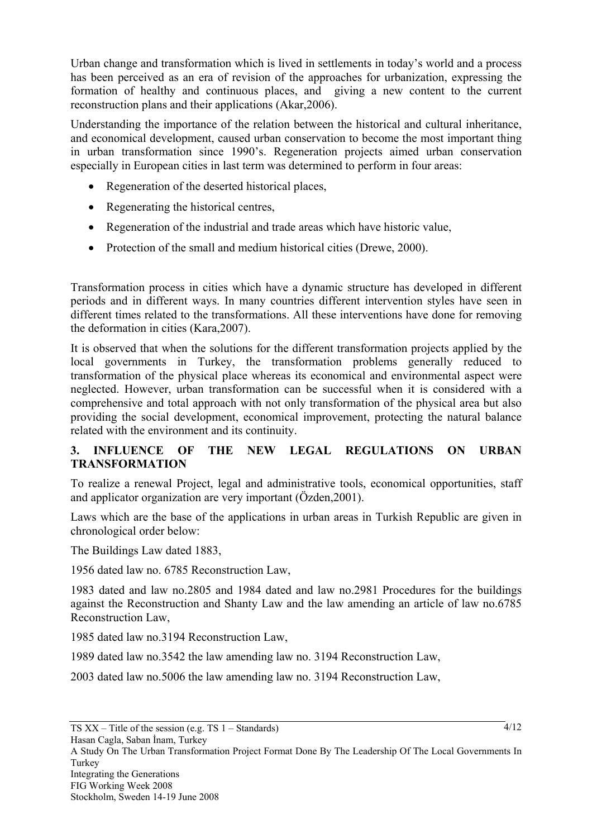Urban change and transformation which is lived in settlements in today's world and a process has been perceived as an era of revision of the approaches for urbanization, expressing the formation of healthy and continuous places, and giving a new content to the current reconstruction plans and their applications (Akar,2006).

Understanding the importance of the relation between the historical and cultural inheritance, and economical development, caused urban conservation to become the most important thing in urban transformation since 1990's. Regeneration projects aimed urban conservation especially in European cities in last term was determined to perform in four areas:

- Regeneration of the deserted historical places,
- Regenerating the historical centres,
- Regeneration of the industrial and trade areas which have historic value,
- Protection of the small and medium historical cities (Drewe, 2000).

Transformation process in cities which have a dynamic structure has developed in different periods and in different ways. In many countries different intervention styles have seen in different times related to the transformations. All these interventions have done for removing the deformation in cities (Kara,2007).

It is observed that when the solutions for the different transformation projects applied by the local governments in Turkey, the transformation problems generally reduced to transformation of the physical place whereas its economical and environmental aspect were neglected. However, urban transformation can be successful when it is considered with a comprehensive and total approach with not only transformation of the physical area but also providing the social development, economical improvement, protecting the natural balance related with the environment and its continuity.

## **3. INFLUENCE OF THE NEW LEGAL REGULATIONS ON URBAN TRANSFORMATION**

To realize a renewal Project, legal and administrative tools, economical opportunities, staff and applicator organization are very important (Özden,2001).

Laws which are the base of the applications in urban areas in Turkish Republic are given in chronological order below:

The Buildings Law dated 1883,

1956 dated law no. 6785 Reconstruction Law,

1983 dated and law no.2805 and 1984 dated and law no.2981 Procedures for the buildings against the Reconstruction and Shanty Law and the law amending an article of law no.6785 Reconstruction Law,

1985 dated law no.3194 Reconstruction Law,

1989 dated law no.3542 the law amending law no. 3194 Reconstruction Law,

2003 dated law no.5006 the law amending law no. 3194 Reconstruction Law,

Hasan Cagla, Saban İnam, Turkey

A Study On The Urban Transformation Project Format Done By The Leadership Of The Local Governments In Turkey Integrating the Generations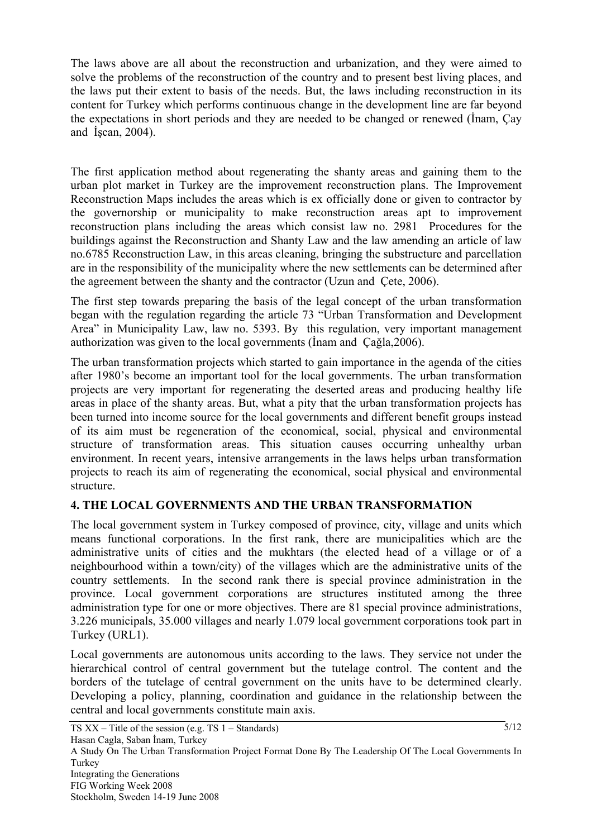The laws above are all about the reconstruction and urbanization, and they were aimed to solve the problems of the reconstruction of the country and to present best living places, and the laws put their extent to basis of the needs. But, the laws including reconstruction in its content for Turkey which performs continuous change in the development line are far beyond the expectations in short periods and they are needed to be changed or renewed (İnam, Çay and İşcan, 2004).

The first application method about regenerating the shanty areas and gaining them to the urban plot market in Turkey are the improvement reconstruction plans. The Improvement Reconstruction Maps includes the areas which is ex officially done or given to contractor by the governorship or municipality to make reconstruction areas apt to improvement reconstruction plans including the areas which consist law no. 2981 Procedures for the buildings against the Reconstruction and Shanty Law and the law amending an article of law no.6785 Reconstruction Law, in this areas cleaning, bringing the substructure and parcellation are in the responsibility of the municipality where the new settlements can be determined after the agreement between the shanty and the contractor (Uzun and Çete, 2006).

The first step towards preparing the basis of the legal concept of the urban transformation began with the regulation regarding the article 73 "Urban Transformation and Development Area" in Municipality Law, law no. 5393. By this regulation, very important management authorization was given to the local governments (İnam and Çağla,2006).

The urban transformation projects which started to gain importance in the agenda of the cities after 1980's become an important tool for the local governments. The urban transformation projects are very important for regenerating the deserted areas and producing healthy life areas in place of the shanty areas. But, what a pity that the urban transformation projects has been turned into income source for the local governments and different benefit groups instead of its aim must be regeneration of the economical, social, physical and environmental structure of transformation areas. This situation causes occurring unhealthy urban environment. In recent years, intensive arrangements in the laws helps urban transformation projects to reach its aim of regenerating the economical, social physical and environmental structure.

# **4. THE LOCAL GOVERNMENTS AND THE URBAN TRANSFORMATION**

The local government system in Turkey composed of province, city, village and units which means functional corporations. In the first rank, there are municipalities which are the administrative units of cities and the mukhtars (the elected head of a village or of a neighbourhood within a town/city) of the villages which are the administrative units of the country settlements. In the second rank there is special province administration in the province. Local government corporations are structures instituted among the three administration type for one or more objectives. There are 81 special province administrations, 3.226 municipals, 35.000 villages and nearly 1.079 local government corporations took part in Turkey (URL1).

Local governments are autonomous units according to the laws. They service not under the hierarchical control of central government but the tutelage control. The content and the borders of the tutelage of central government on the units have to be determined clearly. Developing a policy, planning, coordination and guidance in the relationship between the central and local governments constitute main axis.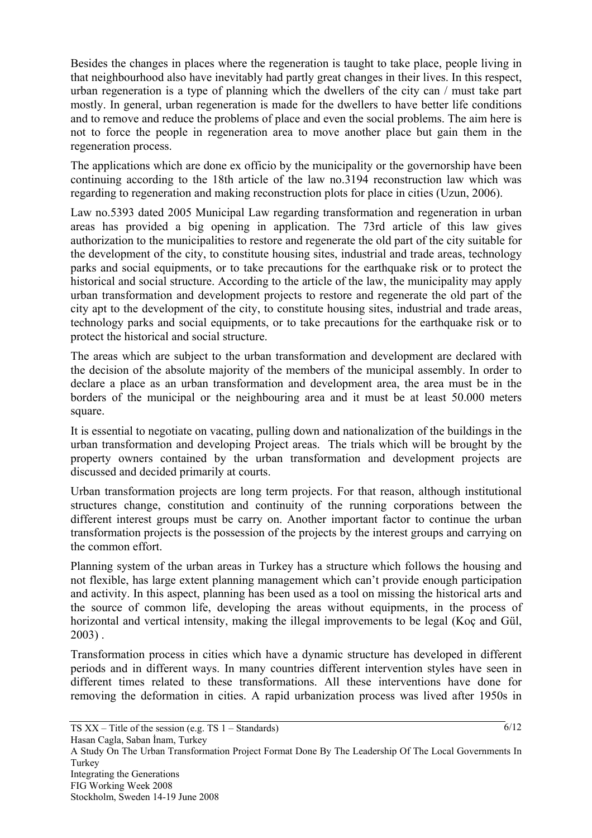Besides the changes in places where the regeneration is taught to take place, people living in that neighbourhood also have inevitably had partly great changes in their lives. In this respect, urban regeneration is a type of planning which the dwellers of the city can / must take part mostly. In general, urban regeneration is made for the dwellers to have better life conditions and to remove and reduce the problems of place and even the social problems. The aim here is not to force the people in regeneration area to move another place but gain them in the regeneration process.

The applications which are done ex officio by the municipality or the governorship have been continuing according to the 18th article of the law no.3194 reconstruction law which was regarding to regeneration and making reconstruction plots for place in cities (Uzun, 2006).

Law no.5393 dated 2005 Municipal Law regarding transformation and regeneration in urban areas has provided a big opening in application. The 73rd article of this law gives authorization to the municipalities to restore and regenerate the old part of the city suitable for the development of the city, to constitute housing sites, industrial and trade areas, technology parks and social equipments, or to take precautions for the earthquake risk or to protect the historical and social structure. According to the article of the law, the municipality may apply urban transformation and development projects to restore and regenerate the old part of the city apt to the development of the city, to constitute housing sites, industrial and trade areas, technology parks and social equipments, or to take precautions for the earthquake risk or to protect the historical and social structure.

The areas which are subject to the urban transformation and development are declared with the decision of the absolute majority of the members of the municipal assembly. In order to declare a place as an urban transformation and development area, the area must be in the borders of the municipal or the neighbouring area and it must be at least 50.000 meters square.

It is essential to negotiate on vacating, pulling down and nationalization of the buildings in the urban transformation and developing Project areas. The trials which will be brought by the property owners contained by the urban transformation and development projects are discussed and decided primarily at courts.

Urban transformation projects are long term projects. For that reason, although institutional structures change, constitution and continuity of the running corporations between the different interest groups must be carry on. Another important factor to continue the urban transformation projects is the possession of the projects by the interest groups and carrying on the common effort.

Planning system of the urban areas in Turkey has a structure which follows the housing and not flexible, has large extent planning management which can't provide enough participation and activity. In this aspect, planning has been used as a tool on missing the historical arts and the source of common life, developing the areas without equipments, in the process of horizontal and vertical intensity, making the illegal improvements to be legal (Koç and Gül, 2003) .

Transformation process in cities which have a dynamic structure has developed in different periods and in different ways. In many countries different intervention styles have seen in different times related to these transformations. All these interventions have done for removing the deformation in cities. A rapid urbanization process was lived after 1950s in

 $6/12$ 

A Study On The Urban Transformation Project Format Done By The Leadership Of The Local Governments In Turkey Integrating the Generations FIG Working Week 2008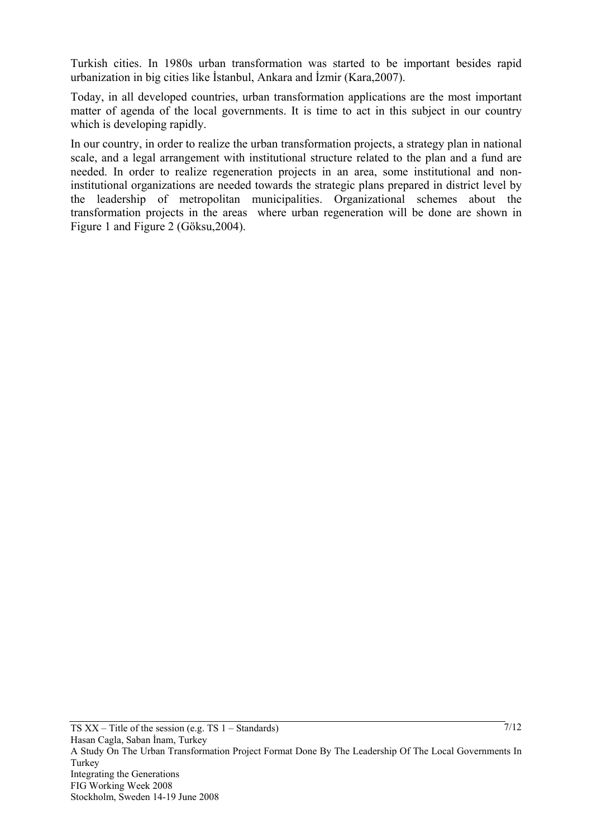Turkish cities. In 1980s urban transformation was started to be important besides rapid urbanization in big cities like İstanbul, Ankara and İzmir (Kara,2007).

Today, in all developed countries, urban transformation applications are the most important matter of agenda of the local governments. It is time to act in this subject in our country which is developing rapidly.

In our country, in order to realize the urban transformation projects, a strategy plan in national scale, and a legal arrangement with institutional structure related to the plan and a fund are needed. In order to realize regeneration projects in an area, some institutional and noninstitutional organizations are needed towards the strategic plans prepared in district level by the leadership of metropolitan municipalities. Organizational schemes about the transformation projects in the areas where urban regeneration will be done are shown in Figure 1 and Figure 2 (Göksu,2004).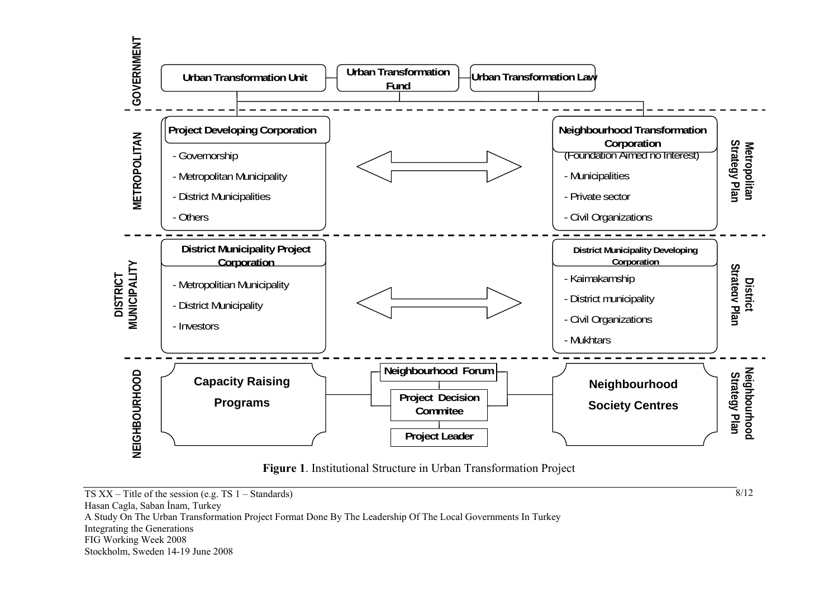

**Figure 1**. Institutional Structure in Urban Transformation Project

8/12

TS  $XX$  – Title of the session (e.g. TS 1 – Standards) Hasan Cagla, Saban İnam, Turkey A Study On The Urban Transformation Project Format Done By The Leadership Of The Local Governments In Turkey Integrating the Generations FIG Working Week 2008 Stockholm, Sweden 14-19 June 2008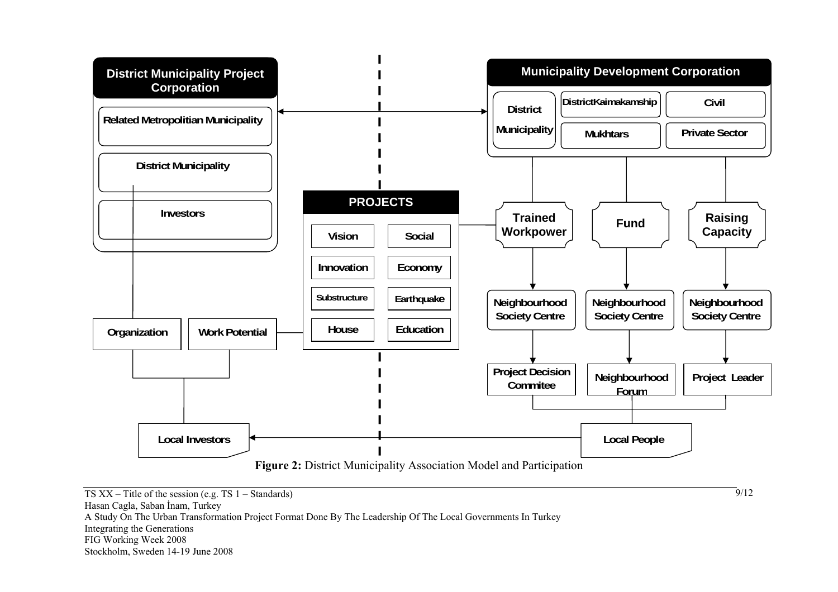

9/12

TS  $XX$  – Title of the session (e.g. TS 1 – Standards) Hasan Cagla, Saban İnam, Turkey A Study On The Urban Transformation Project Format Done By The Leadership Of The Local Governments In Turkey Integrating the Generations FIG Working Week 2008 Stockholm, Sweden 14-19 June 2008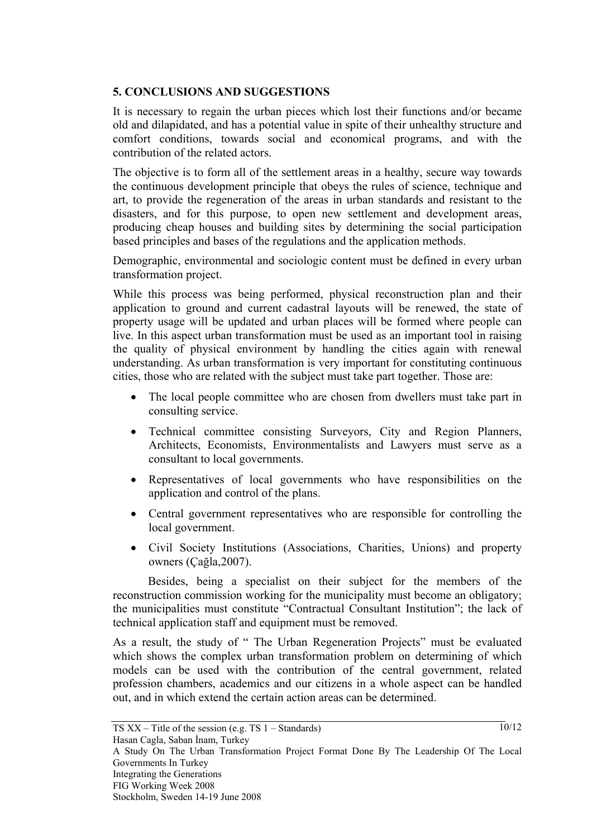## **5. CONCLUSIONS AND SUGGESTIONS**

It is necessary to regain the urban pieces which lost their functions and/or became old and dilapidated, and has a potential value in spite of their unhealthy structure and comfort conditions, towards social and economical programs, and with the contribution of the related actors.

The objective is to form all of the settlement areas in a healthy, secure way towards the continuous development principle that obeys the rules of science, technique and art, to provide the regeneration of the areas in urban standards and resistant to the disasters, and for this purpose, to open new settlement and development areas, producing cheap houses and building sites by determining the social participation based principles and bases of the regulations and the application methods.

Demographic, environmental and sociologic content must be defined in every urban transformation project.

While this process was being performed, physical reconstruction plan and their application to ground and current cadastral layouts will be renewed, the state of property usage will be updated and urban places will be formed where people can live. In this aspect urban transformation must be used as an important tool in raising the quality of physical environment by handling the cities again with renewal understanding. As urban transformation is very important for constituting continuous cities, those who are related with the subject must take part together. Those are:

- The local people committee who are chosen from dwellers must take part in consulting service.
- Technical committee consisting Surveyors, City and Region Planners, Architects, Economists, Environmentalists and Lawyers must serve as a consultant to local governments.
- Representatives of local governments who have responsibilities on the application and control of the plans.
- Central government representatives who are responsible for controlling the local government.
- Civil Society Institutions (Associations, Charities, Unions) and property owners (Çağla,2007).

Besides, being a specialist on their subject for the members of the reconstruction commission working for the municipality must become an obligatory; the municipalities must constitute "Contractual Consultant Institution"; the lack of technical application staff and equipment must be removed.

As a result, the study of " The Urban Regeneration Projects" must be evaluated which shows the complex urban transformation problem on determining of which models can be used with the contribution of the central government, related profession chambers, academics and our citizens in a whole aspect can be handled out, and in which extend the certain action areas can be determined.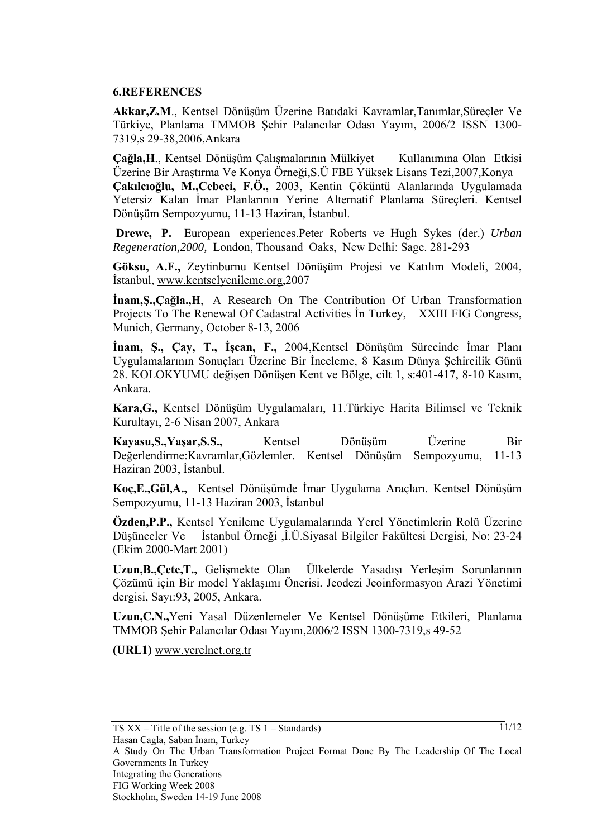#### **6.REFERENCES**

**Akkar,Z.M**., Kentsel Dönüşüm Üzerine Batıdaki Kavramlar,Tanımlar,Süreçler Ve Türkiye, Planlama TMMOB Şehir Palancılar Odası Yayını, 2006/2 ISSN 1300- 7319,s 29-38,2006,Ankara

**Çağla,H**., Kentsel Dönüşüm Çalışmalarının Mülkiyet Kullanımına Olan Etkisi Üzerine Bir Araştırma Ve Konya Örneği,S.Ü FBE Yüksek Lisans Tezi,2007,Konya **Çakılcıoğlu, M.,Cebeci, F.Ö.,** 2003, Kentin Çöküntü Alanlarında Uygulamada Yetersiz Kalan İmar Planlarının Yerine Alternatif Planlama Süreçleri. Kentsel Dönüşüm Sempozyumu, 11-13 Haziran, İstanbul.

**Drewe, P.** European experiences.Peter Roberts ve Hugh Sykes (der.) *Urban Regeneration,2000,* London, Thousand Oaks, New Delhi: Sage. 281-293

**Göksu, A.F.,** Zeytinburnu Kentsel Dönüşüm Projesi ve Katılım Modeli, 2004, İstanbul, www.kentselyenileme.org,2007

**İnam,Ş.,Çağla.,H**, A Research On The Contribution Of Urban Transformation Projects To The Renewal Of Cadastral Activities İn Turkey, XXIII FIG Congress, Munich, Germany, October 8-13, 2006

**İnam, Ş., Çay, T., İşcan, F.,** 2004,Kentsel Dönüşüm Sürecinde İmar Planı Uygulamalarının Sonuçları Üzerine Bir İnceleme, 8 Kasım Dünya Şehircilik Günü 28. KOLOKYUMU değişen Dönüşen Kent ve Bölge, cilt 1, s:401-417, 8-10 Kasım, Ankara.

**Kara,G.,** Kentsel Dönüşüm Uygulamaları, 11.Türkiye Harita Bilimsel ve Teknik Kurultayı, 2-6 Nisan 2007, Ankara

**Kayasu,S.,Yaşar,S.S.,** Kentsel Dönüşüm Üzerine Bir Değerlendirme:Kavramlar,Gözlemler. Kentsel Dönüşüm Sempozyumu, 11-13 Haziran 2003, İstanbul.

**Koç,E.,Gül,A.,** Kentsel Dönüşümde İmar Uygulama Araçları. Kentsel Dönüşüm Sempozyumu, 11-13 Haziran 2003, İstanbul

**Özden,P.P.,** Kentsel Yenileme Uygulamalarında Yerel Yönetimlerin Rolü Üzerine Düşünceler Ve İstanbul Örneği ,İ.Ü.Siyasal Bilgiler Fakültesi Dergisi, No: 23-24 (Ekim 2000-Mart 2001)

**Uzun,B.,Çete,T.,** Gelişmekte Olan Ülkelerde Yasadışı Yerleşim Sorunlarının Çözümü için Bir model Yaklaşımı Önerisi. Jeodezi Jeoinformasyon Arazi Yönetimi dergisi, Sayı:93, 2005, Ankara.

**Uzun,C.N.,**Yeni Yasal Düzenlemeler Ve Kentsel Dönüşüme Etkileri, Planlama TMMOB Şehir Palancılar Odası Yayını,2006/2 ISSN 1300-7319,s 49-52

**(URL1)** www.yerelnet.org.tr